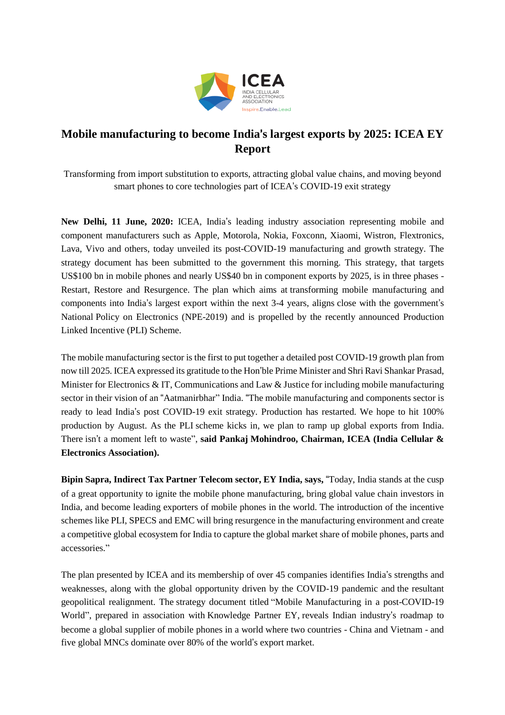

## **Mobile manufacturing to become India**'**s largest exports by 2025: ICEA EY Report**

Transforming from import substitution to exports, attracting global value chains, and moving beyond smart phones to core technologies part of ICEA's COVID-19 exit strategy

**New Delhi, 11 June, 2020:** ICEA, India's leading industry association representing mobile and component manufacturers such as Apple, Motorola, Nokia, Foxconn, Xiaomi, Wistron, Flextronics, Lava, Vivo and others, today unveiled its post-COVID-19 manufacturing and growth strategy. The strategy document has been submitted to the government this morning. This strategy, that targets US\$100 bn in mobile phones and nearly US\$40 bn in component exports by 2025, is in three phases - Restart, Restore and Resurgence. The plan which aims at transforming mobile manufacturing and components into India's largest export within the next 3-4 years, aligns close with the government's National Policy on Electronics (NPE-2019) and is propelled by the recently announced Production Linked Incentive (PLI) Scheme.

The mobile manufacturing sector is the first to put together a detailed post COVID-19 growth plan from now till 2025. ICEA expressed its gratitude to the Hon'ble Prime Minister and Shri Ravi Shankar Prasad, Minister for Electronics & IT, Communications and Law & Justice for including mobile manufacturing sector in their vision of an "Aatmanirbhar" India. "The mobile manufacturing and components sector is ready to lead India's post COVID-19 exit strategy. Production has restarted. We hope to hit 100% production by August. As the PLI scheme kicks in, we plan to ramp up global exports from India. There isn't a moment left to waste", **said Pankaj Mohindroo, Chairman, ICEA (India Cellular & Electronics Association).**

**Bipin Sapra, Indirect Tax Partner Telecom sector, EY India, says,** "Today, India stands at the cusp of a great opportunity to ignite the mobile phone manufacturing, bring global value chain investors in India, and become leading exporters of mobile phones in the world. The introduction of the incentive schemes like PLI, SPECS and EMC will bring resurgence in the manufacturing environment and create a competitive global ecosystem for India to capture the global market share of mobile phones, parts and accessories."

The plan presented by ICEA and its membership of over 45 companies identifies India's strengths and weaknesses, along with the global opportunity driven by the COVID-19 pandemic and the resultant geopolitical realignment. The strategy document titled "Mobile Manufacturing in a post-COVID-19 World", prepared in association with Knowledge Partner EY, reveals Indian industry's roadmap to become a global supplier of mobile phones in a world where two countries - China and Vietnam - and five global MNCs dominate over 80% of the world's export market.